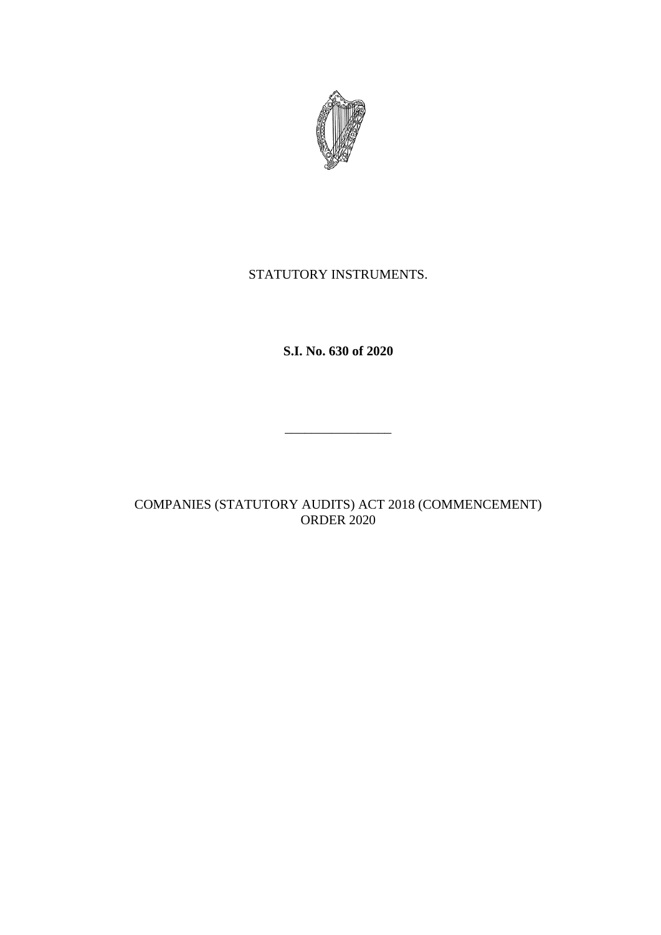

# STATUTORY INSTRUMENTS.

**S.I. No. 630 of 2020**

\_\_\_\_\_\_\_\_\_\_\_\_\_\_\_\_

COMPANIES (STATUTORY AUDITS) ACT 2018 (COMMENCEMENT) ORDER 2020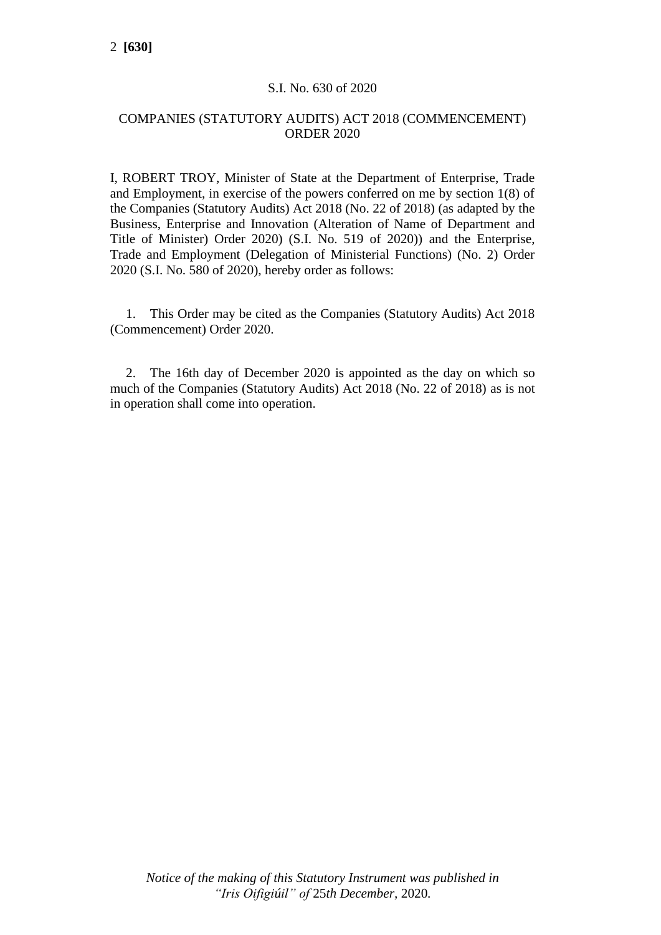# S.I. No. 630 of 2020

### COMPANIES (STATUTORY AUDITS) ACT 2018 (COMMENCEMENT) ORDER 2020

I, ROBERT TROY, Minister of State at the Department of Enterprise, Trade and Employment, in exercise of the powers conferred on me by section 1(8) of the Companies (Statutory Audits) Act 2018 (No. 22 of 2018) (as adapted by the Business, Enterprise and Innovation (Alteration of Name of Department and Title of Minister) Order 2020) (S.I. No. 519 of 2020)) and the Enterprise, Trade and Employment (Delegation of Ministerial Functions) (No. 2) Order 2020 (S.I. No. 580 of 2020), hereby order as follows:

1. This Order may be cited as the Companies (Statutory Audits) Act 2018 (Commencement) Order 2020.

2. The 16th day of December 2020 is appointed as the day on which so much of the Companies (Statutory Audits) Act 2018 (No. 22 of 2018) as is not in operation shall come into operation.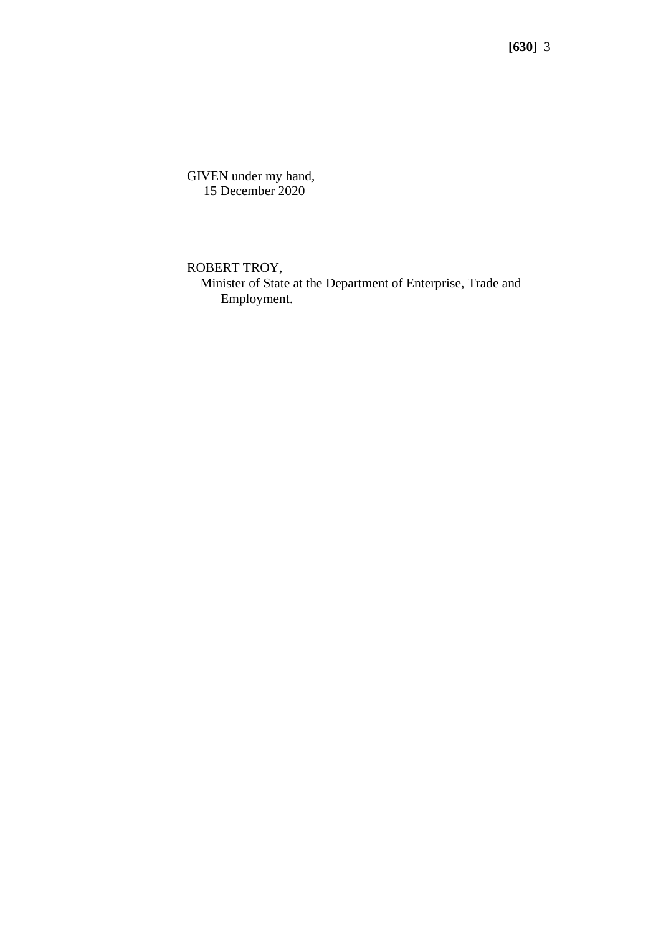**[630]** 3

GIVEN under my hand, 15 December 2020

ROBERT TROY,

 Minister of State at the Department of Enterprise, Trade and Employment.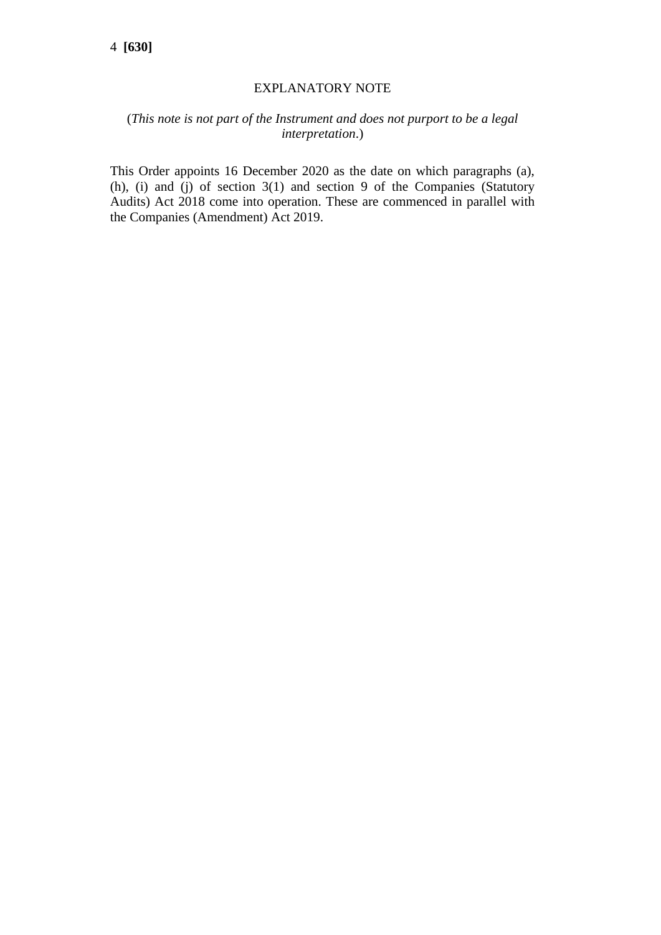#### EXPLANATORY NOTE

# (*This note is not part of the Instrument and does not purport to be a legal interpretation*.)

This Order appoints 16 December 2020 as the date on which paragraphs (a), (h), (i) and (j) of section  $3(1)$  and section 9 of the Companies (Statutory Audits) Act 2018 come into operation. These are commenced in parallel with the Companies (Amendment) Act 2019.